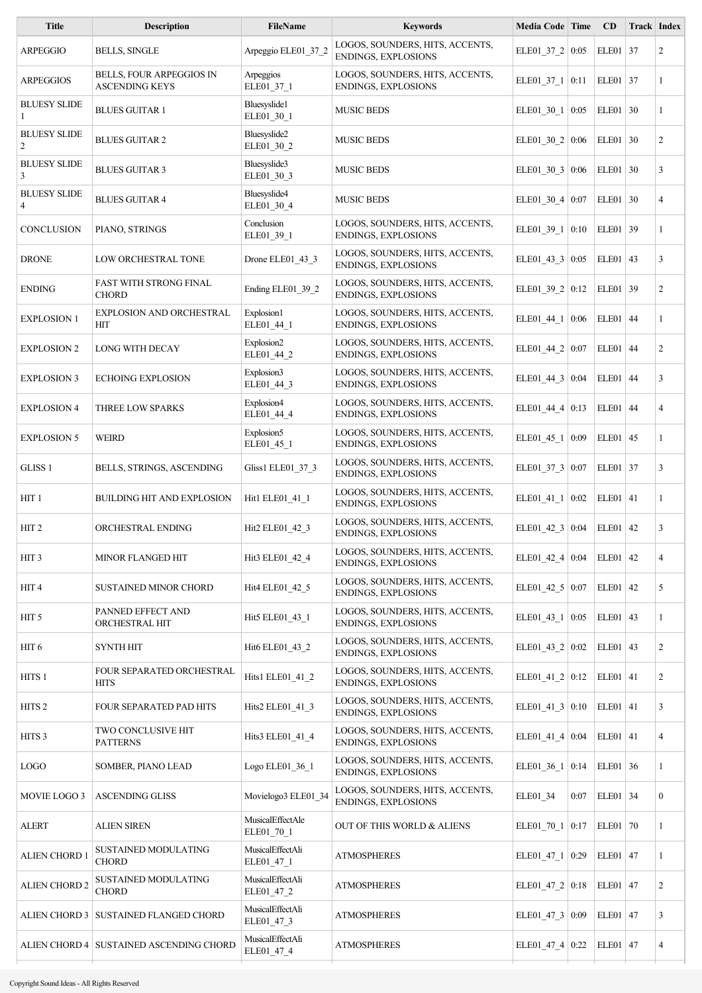| <b>Description</b>                                | <b>FileName</b>                | <b>Keywords</b>                                               |            |      | CD                                                                                                                                                                                                                                                                                                                                                                                                                                                                                                                                                                                                                  | Track Index |                                                                                                                                                                                                                                                                                                                                                                                                    |
|---------------------------------------------------|--------------------------------|---------------------------------------------------------------|------------|------|---------------------------------------------------------------------------------------------------------------------------------------------------------------------------------------------------------------------------------------------------------------------------------------------------------------------------------------------------------------------------------------------------------------------------------------------------------------------------------------------------------------------------------------------------------------------------------------------------------------------|-------------|----------------------------------------------------------------------------------------------------------------------------------------------------------------------------------------------------------------------------------------------------------------------------------------------------------------------------------------------------------------------------------------------------|
| <b>BELLS, SINGLE</b>                              | Arpeggio ELE01_37_2            | LOGOS, SOUNDERS, HITS, ACCENTS,<br><b>ENDINGS, EXPLOSIONS</b> |            |      |                                                                                                                                                                                                                                                                                                                                                                                                                                                                                                                                                                                                                     |             | $\overline{c}$                                                                                                                                                                                                                                                                                                                                                                                     |
| BELLS, FOUR ARPEGGIOS IN<br><b>ASCENDING KEYS</b> | Arpeggios<br>ELE01_37_1        | LOGOS, SOUNDERS, HITS, ACCENTS,<br><b>ENDINGS, EXPLOSIONS</b> |            |      |                                                                                                                                                                                                                                                                                                                                                                                                                                                                                                                                                                                                                     |             | 1                                                                                                                                                                                                                                                                                                                                                                                                  |
| <b>BLUES GUITAR 1</b>                             | Bluesyslide1<br>ELE01_30_1     | <b>MUSIC BEDS</b>                                             |            | 0:05 |                                                                                                                                                                                                                                                                                                                                                                                                                                                                                                                                                                                                                     |             | 1                                                                                                                                                                                                                                                                                                                                                                                                  |
| <b>BLUES GUITAR 2</b>                             | Bluesyslide2<br>ELE01 30 2     | <b>MUSIC BEDS</b>                                             |            |      |                                                                                                                                                                                                                                                                                                                                                                                                                                                                                                                                                                                                                     |             | $\overline{c}$                                                                                                                                                                                                                                                                                                                                                                                     |
| <b>BLUES GUITAR 3</b>                             | Bluesyslide3<br>ELE01 30 3     | <b>MUSIC BEDS</b>                                             |            |      |                                                                                                                                                                                                                                                                                                                                                                                                                                                                                                                                                                                                                     | 30          | 3                                                                                                                                                                                                                                                                                                                                                                                                  |
| <b>BLUES GUITAR 4</b>                             | Bluesyslide4<br>ELE01_30_4     | <b>MUSIC BEDS</b>                                             |            |      |                                                                                                                                                                                                                                                                                                                                                                                                                                                                                                                                                                                                                     | 30          | $\overline{4}$                                                                                                                                                                                                                                                                                                                                                                                     |
| PIANO, STRINGS                                    | Conclusion<br>ELE01_39_1       | LOGOS, SOUNDERS, HITS, ACCENTS,<br><b>ENDINGS, EXPLOSIONS</b> |            |      |                                                                                                                                                                                                                                                                                                                                                                                                                                                                                                                                                                                                                     |             | $\mathbf{1}$                                                                                                                                                                                                                                                                                                                                                                                       |
| LOW ORCHESTRAL TONE                               | Drone ELE01 43 3               | LOGOS, SOUNDERS, HITS, ACCENTS,<br><b>ENDINGS, EXPLOSIONS</b> |            |      |                                                                                                                                                                                                                                                                                                                                                                                                                                                                                                                                                                                                                     |             | 3                                                                                                                                                                                                                                                                                                                                                                                                  |
| <b>FAST WITH STRONG FINAL</b><br><b>CHORD</b>     | Ending ELE01_39_2              | LOGOS, SOUNDERS, HITS, ACCENTS,<br>ENDINGS, EXPLOSIONS        |            |      |                                                                                                                                                                                                                                                                                                                                                                                                                                                                                                                                                                                                                     |             | $\overline{c}$                                                                                                                                                                                                                                                                                                                                                                                     |
| <b>EXPLOSION AND ORCHESTRAL</b><br><b>HIT</b>     | Explosion1<br>ELE01_44_1       | LOGOS, SOUNDERS, HITS, ACCENTS,<br>ENDINGS, EXPLOSIONS        | ELE01_44_1 | 0:06 |                                                                                                                                                                                                                                                                                                                                                                                                                                                                                                                                                                                                                     | 44          | 1                                                                                                                                                                                                                                                                                                                                                                                                  |
| LONG WITH DECAY                                   | Explosion2<br>ELE01_44_2       | LOGOS, SOUNDERS, HITS, ACCENTS,<br><b>ENDINGS, EXPLOSIONS</b> |            |      |                                                                                                                                                                                                                                                                                                                                                                                                                                                                                                                                                                                                                     |             | $\overline{c}$                                                                                                                                                                                                                                                                                                                                                                                     |
| <b>ECHOING EXPLOSION</b>                          | Explosion3<br>ELE01_44_3       | LOGOS, SOUNDERS, HITS, ACCENTS,<br><b>ENDINGS, EXPLOSIONS</b> |            |      |                                                                                                                                                                                                                                                                                                                                                                                                                                                                                                                                                                                                                     | 44          | 3                                                                                                                                                                                                                                                                                                                                                                                                  |
| THREE LOW SPARKS                                  | Explosion4<br>ELE01_44_4       | LOGOS, SOUNDERS, HITS, ACCENTS,<br><b>ENDINGS, EXPLOSIONS</b> |            |      |                                                                                                                                                                                                                                                                                                                                                                                                                                                                                                                                                                                                                     | 44          | $\overline{4}$                                                                                                                                                                                                                                                                                                                                                                                     |
| <b>WEIRD</b>                                      | Explosion5<br>ELE01_45_1       | LOGOS, SOUNDERS, HITS, ACCENTS,<br><b>ENDINGS, EXPLOSIONS</b> |            | 0:09 |                                                                                                                                                                                                                                                                                                                                                                                                                                                                                                                                                                                                                     | 45          | $\mathbf{1}$                                                                                                                                                                                                                                                                                                                                                                                       |
| BELLS, STRINGS, ASCENDING                         | Gliss1 ELE01_37_3              | LOGOS, SOUNDERS, HITS, ACCENTS,<br>ENDINGS, EXPLOSIONS        |            |      |                                                                                                                                                                                                                                                                                                                                                                                                                                                                                                                                                                                                                     |             | 3                                                                                                                                                                                                                                                                                                                                                                                                  |
| <b>BUILDING HIT AND EXPLOSION</b>                 | Hit1 ELE01 41 1                | LOGOS, SOUNDERS, HITS, ACCENTS,<br>ENDINGS, EXPLOSIONS        |            |      |                                                                                                                                                                                                                                                                                                                                                                                                                                                                                                                                                                                                                     |             | 1                                                                                                                                                                                                                                                                                                                                                                                                  |
| ORCHESTRAL ENDING                                 | Hit2 ELE01_42_3                | LOGOS, SOUNDERS, HITS, ACCENTS,<br><b>ENDINGS, EXPLOSIONS</b> |            |      |                                                                                                                                                                                                                                                                                                                                                                                                                                                                                                                                                                                                                     | 42          | 3                                                                                                                                                                                                                                                                                                                                                                                                  |
| MINOR FLANGED HIT                                 | Hit3 ELE01_42_4                | LOGOS, SOUNDERS, HITS, ACCENTS,<br><b>ENDINGS, EXPLOSIONS</b> |            |      |                                                                                                                                                                                                                                                                                                                                                                                                                                                                                                                                                                                                                     |             | $\overline{4}$                                                                                                                                                                                                                                                                                                                                                                                     |
| <b>SUSTAINED MINOR CHORD</b>                      | Hit4 ELE01 42 5                | LOGOS, SOUNDERS, HITS, ACCENTS,<br><b>ENDINGS, EXPLOSIONS</b> |            |      |                                                                                                                                                                                                                                                                                                                                                                                                                                                                                                                                                                                                                     | 42          | 5                                                                                                                                                                                                                                                                                                                                                                                                  |
| PANNED EFFECT AND<br>ORCHESTRAL HIT               | Hit5 ELE01 43 1                | LOGOS, SOUNDERS, HITS, ACCENTS,<br><b>ENDINGS, EXPLOSIONS</b> |            |      |                                                                                                                                                                                                                                                                                                                                                                                                                                                                                                                                                                                                                     |             | 1                                                                                                                                                                                                                                                                                                                                                                                                  |
| <b>SYNTH HIT</b>                                  | Hit6 ELE01 43 2                | LOGOS, SOUNDERS, HITS, ACCENTS,<br><b>ENDINGS, EXPLOSIONS</b> |            |      |                                                                                                                                                                                                                                                                                                                                                                                                                                                                                                                                                                                                                     |             | $\overline{c}$                                                                                                                                                                                                                                                                                                                                                                                     |
| FOUR SEPARATED ORCHESTRAL<br><b>HITS</b>          | Hits1 ELE01 41 2               | LOGOS, SOUNDERS, HITS, ACCENTS,<br><b>ENDINGS, EXPLOSIONS</b> |            |      |                                                                                                                                                                                                                                                                                                                                                                                                                                                                                                                                                                                                                     |             | $\overline{c}$                                                                                                                                                                                                                                                                                                                                                                                     |
| FOUR SEPARATED PAD HITS                           | Hits2 ELE01_41_3               | LOGOS, SOUNDERS, HITS, ACCENTS,<br>ENDINGS, EXPLOSIONS        |            |      |                                                                                                                                                                                                                                                                                                                                                                                                                                                                                                                                                                                                                     |             | 3                                                                                                                                                                                                                                                                                                                                                                                                  |
| TWO CONCLUSIVE HIT<br><b>PATTERNS</b>             | Hits3 ELE01_41_4               | LOGOS, SOUNDERS, HITS, ACCENTS,<br>ENDINGS, EXPLOSIONS        |            |      |                                                                                                                                                                                                                                                                                                                                                                                                                                                                                                                                                                                                                     |             | $\overline{4}$                                                                                                                                                                                                                                                                                                                                                                                     |
| SOMBER, PIANO LEAD                                | Logo ELE01_36_1                | LOGOS, SOUNDERS, HITS, ACCENTS,<br>ENDINGS, EXPLOSIONS        |            |      |                                                                                                                                                                                                                                                                                                                                                                                                                                                                                                                                                                                                                     |             | 1                                                                                                                                                                                                                                                                                                                                                                                                  |
| <b>ASCENDING GLISS</b>                            | Movielogo3 ELE01_34            | LOGOS, SOUNDERS, HITS, ACCENTS,<br><b>ENDINGS, EXPLOSIONS</b> | ELE01_34   | 0:07 |                                                                                                                                                                                                                                                                                                                                                                                                                                                                                                                                                                                                                     |             | $\boldsymbol{0}$                                                                                                                                                                                                                                                                                                                                                                                   |
| <b>ALIEN SIREN</b>                                | MusicalEffectAle<br>ELE01_70_1 | OUT OF THIS WORLD & ALIENS                                    |            |      |                                                                                                                                                                                                                                                                                                                                                                                                                                                                                                                                                                                                                     |             | 1                                                                                                                                                                                                                                                                                                                                                                                                  |
| SUSTAINED MODULATING<br><b>CHORD</b>              | MusicalEffectAli<br>ELE01_47_1 | <b>ATMOSPHERES</b>                                            |            | 0:29 |                                                                                                                                                                                                                                                                                                                                                                                                                                                                                                                                                                                                                     |             | 1                                                                                                                                                                                                                                                                                                                                                                                                  |
| SUSTAINED MODULATING<br><b>CHORD</b>              | MusicalEffectAli<br>ELE01_47_2 | <b>ATMOSPHERES</b>                                            |            |      |                                                                                                                                                                                                                                                                                                                                                                                                                                                                                                                                                                                                                     |             | $\overline{c}$                                                                                                                                                                                                                                                                                                                                                                                     |
| ALIEN CHORD 3   SUSTAINED FLANGED CHORD           | MusicalEffectAli<br>ELE01_47_3 | <b>ATMOSPHERES</b>                                            |            |      |                                                                                                                                                                                                                                                                                                                                                                                                                                                                                                                                                                                                                     |             | 3                                                                                                                                                                                                                                                                                                                                                                                                  |
| ALIEN CHORD 4   SUSTAINED ASCENDING CHORD         | MusicalEffectAli<br>ELE01_47_4 | <b>ATMOSPHERES</b>                                            |            |      |                                                                                                                                                                                                                                                                                                                                                                                                                                                                                                                                                                                                                     |             | 4                                                                                                                                                                                                                                                                                                                                                                                                  |
|                                                   |                                |                                                               |            |      | Media Code Time<br>ELE01_37_2   0:05<br>$ELE01_37_1   0:11$<br>ELE01_30_1<br>ELE01_30_2 0:06<br>ELE01 30 3 0:06<br>ELE01 30 4 $0:07$<br>ELE01 39 1 0:10<br>ELE01 43 3 0:05<br>ELE01 39 2 0:12<br>ELE01_44_2   0:07<br>ELE01_44_3   0:04<br>ELE01_44_4 $ 0:13$<br>ELE01_45_1<br>ELE01 37 3 0:07<br>ELE01_41_1 0:02<br>ELE01_42_3 $\vert$ 0:04<br>ELE01_42_4 0:04<br>ELE01_42_5 $\vert$ 0:07<br>ELE01 43 1 0:05<br>ELE01 43 2 0:02<br>ELE01 41 2 0:12<br>ELE01_41_3 $ 0:10$<br>ELE01_41_4 $\vert$ 0:04<br>ELE01_36_1   0:14<br>ELE01 70 1 0:17<br>ELE01 47 1<br>ELE01 47 2 0:18<br>ELE01 47 3 0:09<br>ELE01 47 4 0:22 |             | ELE01 37<br>$ELE01$ 37<br>$ELE01$ 30<br>$ELE01$ 30<br>ELE01<br>ELE01<br>ELE01 39<br>$ELE01$ 43<br>ELE01 39<br>ELE01<br>$ELE01$ 44<br>ELE01<br>ELE01<br>ELE01<br>ELE01 37<br>ELE01 41<br>ELE01<br>$ELE01$ 42<br>ELE01<br>ELE01   43<br>ELE01   43<br>$ELE01$ 41<br>$ELE01$ 41<br>$ELE01$ 41<br>$ELE01$ 36<br>ELE01 34<br>ELE01   70<br>ELE01   $47$<br>ELE01   $47$<br>ELE01   $47$<br>ELE01   $47$ |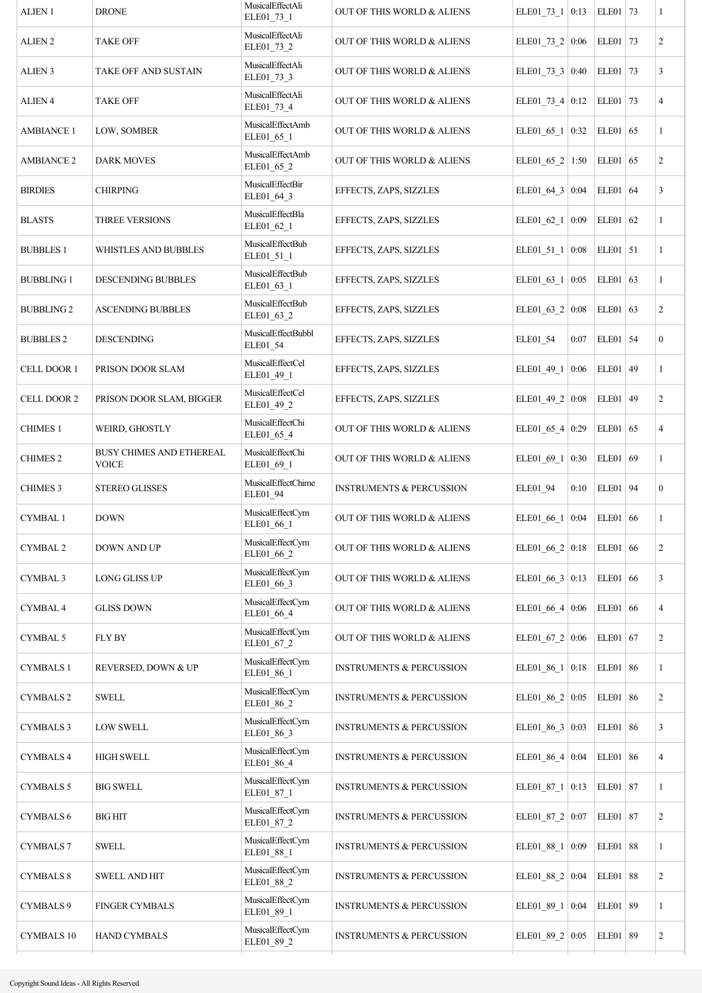| ALIEN <sub>1</sub>  | <b>DRONE</b>                             | MusicalEffectAli<br>ELE01_73_1 | OUT OF THIS WORLD & ALIENS          | ELE01_73_1   0:13       |      | ELE01 73   |    | $\mathbf{1}$            |
|---------------------|------------------------------------------|--------------------------------|-------------------------------------|-------------------------|------|------------|----|-------------------------|
| ALIEN <sub>2</sub>  | <b>TAKE OFF</b>                          | MusicalEffectAli<br>ELE01_73_2 | OUT OF THIS WORLD & ALIENS          | ELE01_73_2   0:06       |      | ELE01 73   |    | $\overline{c}$          |
| <b>ALIEN 3</b>      | TAKE OFF AND SUSTAIN                     | MusicalEffectAli<br>ELE01 73 3 | OUT OF THIS WORLD & ALIENS          | ELE01_73_3 $\vert$ 0:40 |      | ELE01   73 |    | 3                       |
| <b>ALIEN 4</b>      | <b>TAKE OFF</b>                          | MusicalEffectAli<br>ELE01_73_4 | OUT OF THIS WORLD & ALIENS          | ELE01_73_4 $0:12$       |      | ELE01 73   |    | $\overline{4}$          |
| <b>AMBIANCE 1</b>   | LOW, SOMBER                              | MusicalEffectAmb<br>ELE01_65_1 | OUT OF THIS WORLD & ALIENS          | ELE01_65_1   0:32       |      | $ELE01$ 65 |    | 1                       |
| <b>AMBIANCE 2</b>   | <b>DARK MOVES</b>                        | MusicalEffectAmb<br>ELE01_65_2 | OUT OF THIS WORLD & ALIENS          | ELE01_65_2   1:50       |      | $ELE01$ 65 |    | $\overline{c}$          |
| <b>BIRDIES</b>      | <b>CHIRPING</b>                          | MusicalEffectBir<br>ELE01_64_3 | EFFECTS, ZAPS, SIZZLES              | ELE01_64_3   $0:04$     |      | $ELE01$ 64 |    | 3                       |
| <b>BLASTS</b>       | <b>THREE VERSIONS</b>                    | MusicalEffectBla<br>ELE01_62_1 | EFFECTS, ZAPS, SIZZLES              | ELE01_62_1   $0:09$     |      | $ELE01$ 62 |    | 1                       |
| <b>BUBBLES 1</b>    | WHISTLES AND BUBBLES                     | MusicalEffectBub<br>ELE01_51_1 | EFFECTS, ZAPS, SIZZLES              | $ELE01_51_1   0:08$     |      | $ELE01$ 51 |    | 1                       |
| <b>BUBBLING 1</b>   | DESCENDING BUBBLES                       | MusicalEffectBub<br>ELE01_63_1 | EFFECTS, ZAPS, SIZZLES              | ELE01 63 1 0:05         |      | ELE01 63   |    | 1                       |
| <b>BUBBLING 2</b>   | <b>ASCENDING BUBBLES</b>                 | MusicalEffectBub<br>ELE01_63_2 | EFFECTS, ZAPS, SIZZLES              | ELE01_63_2   $0:08$     |      | ELE01 63   |    | $\overline{c}$          |
| <b>BUBBLES 2</b>    | <b>DESCENDING</b>                        | MusicalEffectBubbl<br>ELE01_54 | EFFECTS, ZAPS, SIZZLES              | ELE01_54                | 0:07 | ELE01 54   |    | $\boldsymbol{0}$        |
| CELL DOOR 1         | PRISON DOOR SLAM                         | MusicalEffectCel<br>ELE01_49_1 | EFFECTS, ZAPS, SIZZLES              | ELE01_49_1              | 0:06 | ELE01 49   |    | $\mathbf{1}$            |
| CELL DOOR 2         | PRISON DOOR SLAM, BIGGER                 | MusicalEffectCel<br>ELE01_49_2 | EFFECTS, ZAPS, SIZZLES              | ELE01_49_2 $\vert$ 0:08 |      | ELE01 49   |    | $\overline{c}$          |
| <b>CHIMES 1</b>     | WEIRD, GHOSTLY                           | MusicalEffectChi<br>ELE01_65_4 | OUT OF THIS WORLD & ALIENS          | ELE01_65_4 0:29         |      | $ELE01$ 65 |    | 4                       |
| <b>CHIMES 2</b>     | BUSY CHIMES AND ETHEREAL<br><b>VOICE</b> | MusicalEffectChi<br>ELE01_69_1 | OUT OF THIS WORLD & ALIENS          | ELE01_69_1              | 0:30 | ELE01 69   |    | 1                       |
| <b>CHIMES 3</b>     | <b>STEREO GLISSES</b>                    | MusicalEffectChime<br>ELE01_94 | <b>INSTRUMENTS &amp; PERCUSSION</b> | ELE01_94                | 0:10 | ELE01 94   |    | $\boldsymbol{0}$        |
| <b>CYMBAL1</b>      | <b>DOWN</b>                              | MusicalEffectCym<br>ELE01_66_1 | OUT OF THIS WORLD & ALIENS          | ELE01_66_1 0:04         |      | $ELE01$ 66 |    | 1                       |
| <b>CYMBAL 2</b>     | DOWN AND UP                              | MusicalEffectCym<br>ELE01_66_2 | OUT OF THIS WORLD & ALIENS          | ELE01 66 $2   0:18$     |      | $ELE01$ 66 |    | $\overline{c}$          |
| <b>CYMBAL 3</b>     | <b>LONG GLISS UP</b>                     | MusicalEffectCym<br>ELE01_66_3 | OUT OF THIS WORLD & ALIENS          | ELE01_66_3   0:13       |      | $ELE01$ 66 |    | 3                       |
| CYMBAL <sub>4</sub> | <b>GLISS DOWN</b>                        | MusicalEffectCym<br>ELE01_66_4 | OUT OF THIS WORLD & ALIENS          | ELE01 66 4 0:06         |      | $ELE01$ 66 |    | 4                       |
| CYMBAL 5            | <b>FLY BY</b>                            | MusicalEffectCym<br>ELE01_67_2 | OUT OF THIS WORLD & ALIENS          | ELE01 67 2 0:06         |      | $ELE01$ 67 |    | $\overline{c}$          |
| <b>CYMBALS 1</b>    | REVERSED, DOWN & UP                      | MusicalEffectCym<br>ELE01_86_1 | <b>INSTRUMENTS &amp; PERCUSSION</b> | ELE01_86_1 $\vert$      | 0:18 | ELE01 86   |    | 1                       |
| <b>CYMBALS 2</b>    | <b>SWELL</b>                             | MusicalEffectCym<br>ELE01_86_2 | <b>INSTRUMENTS &amp; PERCUSSION</b> | ELE01_86_2   $0:05$     |      | ELE01 86   |    | $\overline{c}$          |
| <b>CYMBALS 3</b>    | <b>LOW SWELL</b>                         | MusicalEffectCym<br>ELE01_86_3 | <b>INSTRUMENTS &amp; PERCUSSION</b> | ELE01 86 $3   0:03$     |      | ELE01      | 86 | 3                       |
| <b>CYMBALS 4</b>    | <b>HIGH SWELL</b>                        | MusicalEffectCym<br>ELE01_86_4 | INSTRUMENTS & PERCUSSION            | ELE01_86_4 0:04         |      | ELE01      | 86 | 4                       |
| <b>CYMBALS 5</b>    | <b>BIG SWELL</b>                         | MusicalEffectCym<br>ELE01_87_1 | <b>INSTRUMENTS &amp; PERCUSSION</b> | $ELE01_87_1$            | 0:13 | ELE01   87 |    | 1                       |
| <b>CYMBALS 6</b>    | <b>BIGHIT</b>                            | MusicalEffectCym<br>ELE01_87_2 | <b>INSTRUMENTS &amp; PERCUSSION</b> | ELE01_87_2 0:07         |      | ELE01   87 |    | 2                       |
| <b>CYMBALS 7</b>    | <b>SWELL</b>                             | MusicalEffectCym<br>ELE01_88_1 | <b>INSTRUMENTS &amp; PERCUSSION</b> | ELE01_88_1 0:09         |      | ELE01 88   |    | $\mathbf{1}$            |
| <b>CYMBALS 8</b>    | <b>SWELL AND HIT</b>                     | MusicalEffectCym<br>ELE01_88_2 | <b>INSTRUMENTS &amp; PERCUSSION</b> | ELE01_88_2 0:04         |      | ELE01      | 88 | $\overline{c}$          |
| CYMBALS 9           | <b>FINGER CYMBALS</b>                    | MusicalEffectCym<br>ELE01_89_1 | <b>INSTRUMENTS &amp; PERCUSSION</b> | ELE01_89_1   0:04       |      | ELE01   89 |    | 1                       |
| <b>CYMBALS 10</b>   | <b>HAND CYMBALS</b>                      | MusicalEffectCym<br>ELE01_89_2 | <b>INSTRUMENTS &amp; PERCUSSION</b> | ELE01 89 $2   0:05$     |      | ELE01   89 |    | $\overline{\mathbf{c}}$ |
|                     |                                          |                                |                                     |                         |      |            |    |                         |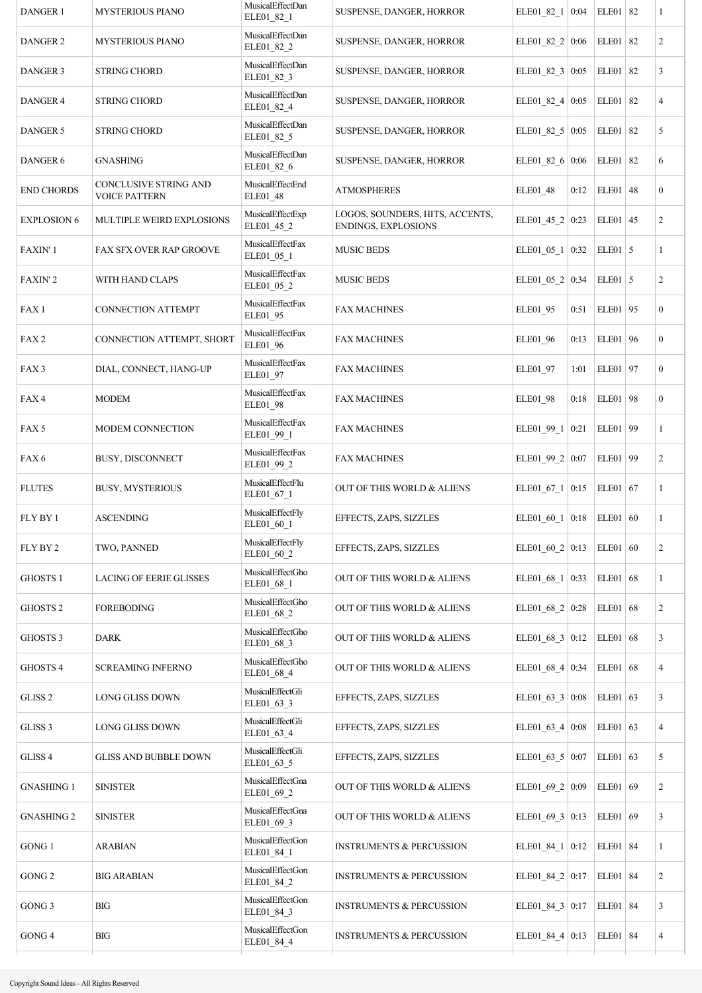| <b>DANGER 1</b>     | <b>MYSTERIOUS PIANO</b>                | MusicalEffectDan<br>ELE01_82_1 | SUSPENSE, DANGER, HORROR                               | ELE01_82_1 0:04         |      | ELE01 82        |    | 1                |
|---------------------|----------------------------------------|--------------------------------|--------------------------------------------------------|-------------------------|------|-----------------|----|------------------|
| DANGER 2            | <b>MYSTERIOUS PIANO</b>                | MusicalEffectDan<br>ELE01_82_2 | SUSPENSE, DANGER, HORROR                               | ELE01 82 $2   0:06$     |      | ELE01           | 82 | $\overline{c}$   |
| DANGER 3            | <b>STRING CHORD</b>                    | MusicalEffectDan<br>ELE01_82_3 | SUSPENSE, DANGER, HORROR                               | ELE01_82_3 0:05         |      | ELE01 82        |    | 3                |
| <b>DANGER 4</b>     | <b>STRING CHORD</b>                    | MusicalEffectDan<br>ELE01_82_4 | SUSPENSE, DANGER, HORROR                               | ELE01_82_4 $\vert$ 0:05 |      | ELE01 82        |    | $\overline{4}$   |
| <b>DANGER 5</b>     | <b>STRING CHORD</b>                    | MusicalEffectDan<br>ELE01_82_5 | SUSPENSE, DANGER, HORROR                               | ELE01_82_5 $\vert$ 0:05 |      | ELE01 82        |    | 5                |
| DANGER 6            | <b>GNASHING</b>                        | MusicalEffectDan<br>ELE01_82_6 | SUSPENSE, DANGER, HORROR                               | ELE01_82_6 0:06         |      | ELE01 82        |    | 6                |
| <b>END CHORDS</b>   | CONCLUSIVE STRING AND<br>VOICE PATTERN | MusicalEffectEnd<br>ELE01_48   | <b>ATMOSPHERES</b>                                     | ELE01_48                | 0:12 | $ELE01$ 48      |    | $\mathbf{0}$     |
| <b>EXPLOSION 6</b>  | MULTIPLE WEIRD EXPLOSIONS              | MusicalEffectExp<br>ELE01_45_2 | LOGOS, SOUNDERS, HITS, ACCENTS,<br>ENDINGS, EXPLOSIONS | ELE01_45_2 0:23         |      | $ELE01$ 45      |    | $\overline{c}$   |
| FAXIN' 1            | FAX SFX OVER RAP GROOVE                | MusicalEffectFax<br>ELE01_05_1 | <b>MUSIC BEDS</b>                                      | ELE01 05 $1$            | 0:32 | $ELE01$ 5       |    | 1                |
| <b>FAXIN'2</b>      | WITH HAND CLAPS                        | MusicalEffectFax<br>ELE01_05_2 | <b>MUSIC BEDS</b>                                      | ELE01_05_2   0:34       |      | ELE01 $\vert$ 5 |    | $\overline{2}$   |
| FAX <sub>1</sub>    | <b>CONNECTION ATTEMPT</b>              | MusicalEffectFax<br>ELE01_95   | <b>FAX MACHINES</b>                                    | ELE01_95                | 0:51 | ELE01 95        |    | $\boldsymbol{0}$ |
| FAX <sub>2</sub>    | CONNECTION ATTEMPT, SHORT              | MusicalEffectFax<br>ELE01_96   | <b>FAX MACHINES</b>                                    | ELE01 96                | 0:13 | ELE01 96        |    | $\mathbf{0}$     |
| FAX <sub>3</sub>    | DIAL, CONNECT, HANG-UP                 | MusicalEffectFax<br>ELE01 97   | <b>FAX MACHINES</b>                                    | ELE01_97                | 1:01 | ELE01 97        |    | $\boldsymbol{0}$ |
| FAX4                | <b>MODEM</b>                           | MusicalEffectFax<br>ELE01_98   | <b>FAX MACHINES</b>                                    | ELE01 98                | 0:18 | ELE01 98        |    | $\mathbf{0}$     |
| FAX <sub>5</sub>    | MODEM CONNECTION                       | MusicalEffectFax<br>ELE01_99_1 | <b>FAX MACHINES</b>                                    | ELE01_99_1 $\vert$ 0:21 |      | ELE01 99        |    | 1                |
| FAX <sub>6</sub>    | BUSY, DISCONNECT                       | MusicalEffectFax<br>ELE01_99_2 | <b>FAX MACHINES</b>                                    | ELE01_99_2 $\mid$ 0:07  |      | ELE01 99        |    | $\mathbf{2}$     |
| <b>FLUTES</b>       | <b>BUSY, MYSTERIOUS</b>                | MusicalEffectFlu<br>ELE01_67_1 | OUT OF THIS WORLD & ALIENS                             | ELE01_67_1   0:15       |      | ELE01 67        |    | 1                |
| FLY BY 1            | <b>ASCENDING</b>                       | MusicalEffectFly<br>ELE01_60_1 | EFFECTS, ZAPS, SIZZLES                                 | ELE01_60_1   0:18       |      | $ELE01$ 60      |    | $\mathbf{1}$     |
| FLY BY 2            | TWO, PANNED                            | MusicalEffectFly<br>ELE01_60_2 | EFFECTS, ZAPS, SIZZLES                                 | ELE01 60 $2   0:13$     |      | ELE01   60      |    | $\overline{c}$   |
| GHOSTS 1            | <b>LACING OF EERIE GLISSES</b>         | MusicalEffectGho<br>ELE01_68_1 | OUT OF THIS WORLD & ALIENS                             | ELE01_68_1   0:33       |      | $ELE01$ 68      |    | $\mathbf{1}$     |
| GHOSTS <sub>2</sub> | <b>FOREBODING</b>                      | MusicalEffectGho<br>ELE01_68_2 | OUT OF THIS WORLD & ALIENS                             | ELE01_68_2   0:28       |      | $ELE01$ 68      |    | $\overline{c}$   |
| <b>GHOSTS 3</b>     | <b>DARK</b>                            | MusicalEffectGho<br>ELE01_68_3 | OUT OF THIS WORLD & ALIENS                             | ELE01_68_3   0:12       |      | $ELE01$ 68      |    | 3                |
| GHOSTS 4            | <b>SCREAMING INFERNO</b>               | MusicalEffectGho<br>ELE01_68_4 | OUT OF THIS WORLD & ALIENS                             | ELE01 68 4 0:34         |      | $ELE01$ 68      |    | $\overline{4}$   |
| GLISS <sub>2</sub>  | LONG GLISS DOWN                        | MusicalEffectGli<br>ELE01_63_3 | EFFECTS, ZAPS, SIZZLES                                 | ELE01 63 $3   0:08$     |      | ELE01           | 63 | 3                |
| GLISS <sub>3</sub>  | LONG GLISS DOWN                        | MusicalEffectGli<br>ELE01_63_4 | EFFECTS, ZAPS, SIZZLES                                 | ELE01_63_4 $\vert$ 0:08 |      | ELE01 63        |    | $\overline{4}$   |
| GLISS <sub>4</sub>  | <b>GLISS AND BUBBLE DOWN</b>           | MusicalEffectGli<br>ELE01_63_5 | EFFECTS, ZAPS, SIZZLES                                 | ELE01_63_5 $\vert$ 0:07 |      | ELE01           | 63 | 5                |
| <b>GNASHING 1</b>   | <b>SINISTER</b>                        | MusicalEffectGna<br>ELE01_69_2 | OUT OF THIS WORLD & ALIENS                             | ELE01_69_2   0:09       |      | ELE01 69        |    | $\overline{c}$   |
| <b>GNASHING 2</b>   | <b>SINISTER</b>                        | MusicalEffectGna<br>ELE01_69_3 | OUT OF THIS WORLD & ALIENS                             | ELE01 69 3 0:13         |      | ELE01 69        |    | 3                |
| GONG 1              | <b>ARABIAN</b>                         | MusicalEffectGon<br>ELE01_84_1 | <b>INSTRUMENTS &amp; PERCUSSION</b>                    | ELE01_84_1   $0:12$     |      | ELE01   84      |    | 1                |
| GONG <sub>2</sub>   | <b>BIG ARABIAN</b>                     | MusicalEffectGon<br>ELE01_84_2 | <b>INSTRUMENTS &amp; PERCUSSION</b>                    | ELE01_84_2 0:17         |      | ELE01   84      |    | $\mathbf{2}$     |
| GONG 3              | BIG                                    | MusicalEffectGon<br>ELE01_84_3 | <b>INSTRUMENTS &amp; PERCUSSION</b>                    | ELE01_84_3 $ 0:17$      |      | ELE01   84      |    | 3                |
| GONG 4              | $_{\rm BIG}$                           | MusicalEffectGon<br>ELE01_84_4 | <b>INSTRUMENTS &amp; PERCUSSION</b>                    | ELE01_84_4   0:13       |      | ELE01   $84$    |    | $\overline{4}$   |
|                     |                                        |                                |                                                        |                         |      |                 |    |                  |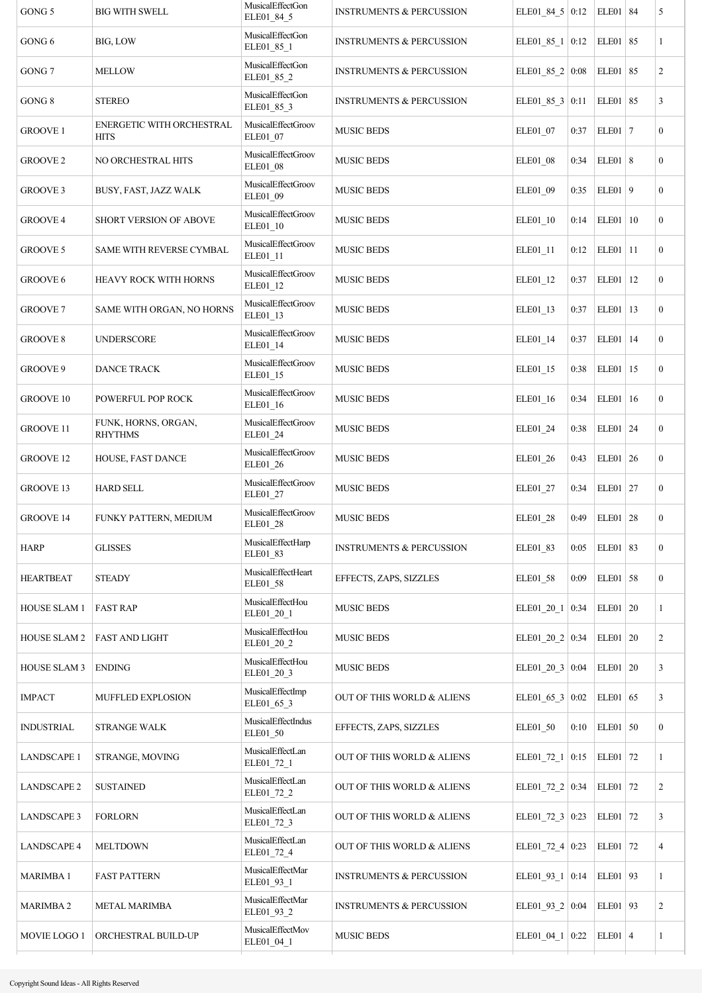| GONG 5              | <b>BIG WITH SWELL</b>                           | MusicalEffectGon<br>ELE01_84_5        | <b>INSTRUMENTS &amp; PERCUSSION</b> | ELE01_84_5 0:12         |      | ELE01   $84$ |    | 5                |
|---------------------|-------------------------------------------------|---------------------------------------|-------------------------------------|-------------------------|------|--------------|----|------------------|
| GONG 6              | BIG, LOW                                        | <b>MusicalEffectGon</b><br>ELE01_85_1 | <b>INSTRUMENTS &amp; PERCUSSION</b> | ELE01_85_1   $0:12$     |      | ELE01 85     |    | 1                |
| GONG 7              | <b>MELLOW</b>                                   | MusicalEffectGon<br>ELE01_85_2        | <b>INSTRUMENTS &amp; PERCUSSION</b> | ELE01_85_2   $0:08$     |      | ELE01        | 85 | $\overline{c}$   |
| $GONG 8$            | <b>STEREO</b>                                   | MusicalEffectGon<br>ELE01_85_3        | <b>INSTRUMENTS &amp; PERCUSSION</b> | ELE01_85_3   0:11       |      | ELE01 85     |    | 3                |
| <b>GROOVE 1</b>     | <b>ENERGETIC WITH ORCHESTRAL</b><br><b>HITS</b> | MusicalEffectGroov<br>ELE01_07        | <b>MUSIC BEDS</b>                   | ELE01_07                | 0:37 | $ELE01$   7  |    | $\mathbf{0}$     |
| <b>GROOVE 2</b>     | NO ORCHESTRAL HITS                              | MusicalEffectGroov<br>ELE01_08        | <b>MUSIC BEDS</b>                   | ELE01 08                | 0:34 | ELE01   8    |    | $\mathbf{0}$     |
| <b>GROOVE 3</b>     | BUSY, FAST, JAZZ WALK                           | MusicalEffectGroov<br>ELE01_09        | MUSIC BEDS                          | ELE01_09                | 0:35 | $ELE01$   9  |    | $\boldsymbol{0}$ |
| GROOVE 4            | SHORT VERSION OF ABOVE                          | MusicalEffectGroov<br>ELE01_10        | <b>MUSIC BEDS</b>                   | ELE01_10                | 0:14 | ELE01   10   |    | $\mathbf{0}$     |
| GROOVE 5            | SAME WITH REVERSE CYMBAL                        | MusicalEffectGroov<br>ELE01_11        | <b>MUSIC BEDS</b>                   | ELE01_11                | 0:12 | ELE01   11   |    | $\boldsymbol{0}$ |
| GROOVE 6            | HEAVY ROCK WITH HORNS                           | MusicalEffectGroov<br>ELE01_12        | <b>MUSIC BEDS</b>                   | ELE01_12                | 0:37 | ELE01        | 12 | $\boldsymbol{0}$ |
| <b>GROOVE 7</b>     | SAME WITH ORGAN, NO HORNS                       | MusicalEffectGroov<br>ELE01_13        | <b>MUSIC BEDS</b>                   | ELE01_13                | 0:37 | ELE01        | 13 | $\boldsymbol{0}$ |
| <b>GROOVE 8</b>     | <b>UNDERSCORE</b>                               | MusicalEffectGroov<br>ELE01_14        | <b>MUSIC BEDS</b>                   | ELE01_14                | 0:37 | ELE01        | 14 | $\boldsymbol{0}$ |
| GROOVE 9            | <b>DANCE TRACK</b>                              | MusicalEffectGroov<br>ELE01_15        | <b>MUSIC BEDS</b>                   | ELE01_15                | 0:38 | $ELE01$   15 |    | $\boldsymbol{0}$ |
| <b>GROOVE 10</b>    | POWERFUL POP ROCK                               | MusicalEffectGroov<br>ELE01_16        | <b>MUSIC BEDS</b>                   | ELE01_16                | 0:34 | ELE01        | 16 | $\mathbf{0}$     |
| <b>GROOVE 11</b>    | FUNK, HORNS, ORGAN,<br><b>RHYTHMS</b>           | MusicalEffectGroov<br>ELE01_24        | <b>MUSIC BEDS</b>                   | ELE01_24                | 0:38 | $ELE01$ 24   |    | $\boldsymbol{0}$ |
| <b>GROOVE 12</b>    | HOUSE, FAST DANCE                               | MusicalEffectGroov<br>ELE01_26        | <b>MUSIC BEDS</b>                   | ELE01 26                | 0:43 | $ELE01$ 26   |    | $\mathbf{0}$     |
| <b>GROOVE 13</b>    | <b>HARD SELL</b>                                | MusicalEffectGroov<br>ELE01 27        | <b>MUSIC BEDS</b>                   | ELE01_27                | 0:34 | ELE01 27     |    | $\boldsymbol{0}$ |
| <b>GROOVE 14</b>    | FUNKY PATTERN, MEDIUM                           | MusicalEffectGroov<br><b>ELE01 28</b> | <b>MUSIC BEDS</b>                   | ELE01_28                | 0:49 | $ELE01$ 28   |    | $\boldsymbol{0}$ |
| <b>HARP</b>         | <b>GLISSES</b>                                  | MusicalEffectHarp<br>ELE01_83         | <b>INSTRUMENTS &amp; PERCUSSION</b> | ELE01 83                | 0:05 | ELE01   83   |    | $\mathbf{0}$     |
| <b>HEARTBEAT</b>    | <b>STEADY</b>                                   | MusicalEffectHeart<br>ELE01 58        | EFFECTS, ZAPS, SIZZLES              | ELE01 58                | 0:09 | $ELE01$ 58   |    | $\mathbf{0}$     |
| <b>HOUSE SLAM1</b>  | <b>FAST RAP</b>                                 | MusicalEffectHou<br>ELE01_20_1        | <b>MUSIC BEDS</b>                   | ELE01 20 1              | 0:34 | ELE01   20   |    | 1                |
| HOUSE SLAM 2        | <b>FAST AND LIGHT</b>                           | MusicalEffectHou<br>ELE01_20_2        | <b>MUSIC BEDS</b>                   | ELE01_20_2   0:34       |      | $ELE01$   20 |    | $\overline{c}$   |
| <b>HOUSE SLAM 3</b> | <b>ENDING</b>                                   | MusicalEffectHou<br>ELE01_20_3        | <b>MUSIC BEDS</b>                   | ELE01_20_3 0:04         |      | $ELE01$ 20   |    | 3                |
| <b>IMPACT</b>       | MUFFLED EXPLOSION                               | MusicalEffectImp<br>ELE01_65_3        | OUT OF THIS WORLD & ALIENS          | ELE01_65_3   $0:02$     |      | ELE01        | 65 | 3                |
| <b>INDUSTRIAL</b>   | <b>STRANGE WALK</b>                             | MusicalEffectIndus<br>ELE01_50        | EFFECTS, ZAPS, SIZZLES              | ELE01_50                | 0:10 | $ELE01$ 50   |    | $\boldsymbol{0}$ |
| <b>LANDSCAPE 1</b>  | STRANGE, MOVING                                 | MusicalEffectLan<br>ELE01_72_1        | OUT OF THIS WORLD & ALIENS          | ELE01_72_1              | 0:15 | ELE01 72     |    | 1                |
| <b>LANDSCAPE 2</b>  | <b>SUSTAINED</b>                                | MusicalEffectLan<br>ELE01 72 2        | OUT OF THIS WORLD & ALIENS          | ELE01_72_2 0:34         |      | ELE01 72     |    | $\overline{c}$   |
| <b>LANDSCAPE 3</b>  | <b>FORLORN</b>                                  | MusicalEffectLan<br>ELE01_72_3        | OUT OF THIS WORLD & ALIENS          | ELE01_72_3 $\vert$ 0:23 |      | ELE01 72     |    | 3                |
| <b>LANDSCAPE 4</b>  | <b>MELTDOWN</b>                                 | MusicalEffectLan<br>ELE01_72_4        | OUT OF THIS WORLD & ALIENS          | ELE01_72_4 $\vert$ 0:23 |      | ELE01 72     |    | 4                |
| <b>MARIMBA1</b>     | <b>FAST PATTERN</b>                             | MusicalEffectMar<br>ELE01_93_1        | <b>INSTRUMENTS &amp; PERCUSSION</b> | ELE01_93_1   0:14       |      | ELE01 93     |    | 1                |
| <b>MARIMBA 2</b>    | <b>METAL MARIMBA</b>                            | MusicalEffectMar<br>ELE01_93_2        | <b>INSTRUMENTS &amp; PERCUSSION</b> | ELE01_93_2   0:04       |      | ELE01 93     |    | $\overline{c}$   |
| MOVIE LOGO 1        | ORCHESTRAL BUILD-UP                             | MusicalEffectMov<br>ELE01_04_1        | <b>MUSIC BEDS</b>                   | $ELE01_04_1$            | 0:22 | $ELE01$ 4    |    | 1                |
|                     |                                                 |                                       |                                     |                         |      |              |    |                  |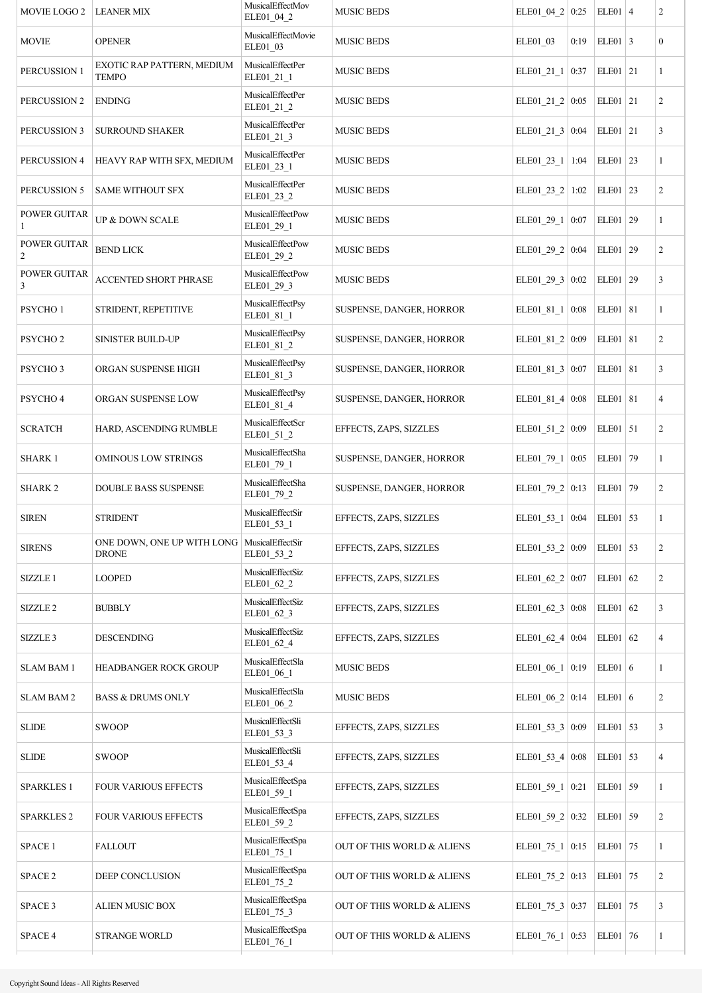| MOVIE LOGO 2                   | <b>LEANER MIX</b>                                             | MusicalEffectMov<br>ELE01_04_2 | <b>MUSIC BEDS</b>          | ELE01 04 2 0:25         |      | $ELE01$ 4  |    | $\overline{c}$   |
|--------------------------------|---------------------------------------------------------------|--------------------------------|----------------------------|-------------------------|------|------------|----|------------------|
| <b>MOVIE</b>                   | <b>OPENER</b>                                                 | MusicalEffectMovie<br>ELE01_03 | <b>MUSIC BEDS</b>          | ELE01 03                | 0:19 | $ELE01$ 3  |    | $\boldsymbol{0}$ |
| PERCUSSION 1                   | EXOTIC RAP PATTERN, MEDIUM<br><b>TEMPO</b>                    | MusicalEffectPer<br>ELE01_21_1 | <b>MUSIC BEDS</b>          | ELE01 21 1              | 0:37 | ELE01   21 |    | $\mathbf{1}$     |
| PERCUSSION 2                   | <b>ENDING</b>                                                 | MusicalEffectPer<br>ELE01_21_2 | <b>MUSIC BEDS</b>          | ELE01_21_2 $\vert$ 0:05 |      | $ELE01$ 21 |    | $\overline{c}$   |
| PERCUSSION 3                   | <b>SURROUND SHAKER</b>                                        | MusicalEffectPer<br>ELE01_21_3 | <b>MUSIC BEDS</b>          | ELE01_21_3 $ 0:04$      |      | $ELE01$ 21 |    | 3                |
| PERCUSSION 4                   | HEAVY RAP WITH SFX, MEDIUM                                    | MusicalEffectPer<br>ELE01_23_1 | <b>MUSIC BEDS</b>          | ELE01_23_1   1:04       |      | $ELE01$ 23 |    | $\mathbf{1}$     |
| PERCUSSION 5                   | <b>SAME WITHOUT SFX</b>                                       | MusicalEffectPer<br>ELE01_23_2 | <b>MUSIC BEDS</b>          | ELE01_23_2 1:02         |      | $ELE01$ 23 |    | $\overline{c}$   |
| <b>POWER GUITAR</b><br>1       | UP & DOWN SCALE                                               | MusicalEffectPow<br>ELE01_29_1 | <b>MUSIC BEDS</b>          | ELE01_29_1 0:07         |      | ELE01      | 29 | 1                |
| POWER GUITAR<br>$\overline{c}$ | <b>BEND LICK</b>                                              | MusicalEffectPow<br>ELE01_29_2 | <b>MUSIC BEDS</b>          | ELE01_29_2 0:04         |      | ELE01      | 29 | $\overline{c}$   |
| <b>POWER GUITAR</b><br>3       | <b>ACCENTED SHORT PHRASE</b>                                  | MusicalEffectPow<br>ELE01_29_3 | <b>MUSIC BEDS</b>          | ELE01_29_3 0:02         |      | ELE01      | 29 | 3                |
| PSYCHO <sub>1</sub>            | STRIDENT, REPETITIVE                                          | MusicalEffectPsy<br>ELE01_81_1 | SUSPENSE, DANGER, HORROR   | ELE01 81 1 0:08         |      | ELE01   81 |    | $\mathbf{1}$     |
| PSYCHO <sub>2</sub>            | SINISTER BUILD-UP                                             | MusicalEffectPsy<br>ELE01_81_2 | SUSPENSE, DANGER, HORROR   | ELE01 81 2 0:09         |      | ELE01 81   |    | $\overline{c}$   |
| PSYCHO <sub>3</sub>            | ORGAN SUSPENSE HIGH                                           | MusicalEffectPsy<br>ELE01_81_3 | SUSPENSE, DANGER, HORROR   | ELE01_81_3   $0:07$     |      | ELE01   81 |    | 3                |
| PSYCHO <sub>4</sub>            | ORGAN SUSPENSE LOW                                            | MusicalEffectPsy<br>ELE01_81_4 | SUSPENSE, DANGER, HORROR   | ELE01_81_4 $\vert$ 0:08 |      | ELE01   81 |    | 4                |
| <b>SCRATCH</b>                 | HARD, ASCENDING RUMBLE                                        | MusicalEffectScr<br>ELE01_51_2 | EFFECTS, ZAPS, SIZZLES     | ELE01 51 2 0:09         |      | $ELE01$ 51 |    | $\overline{c}$   |
| <b>SHARK 1</b>                 | <b>OMINOUS LOW STRINGS</b>                                    | MusicalEffectSha<br>ELE01_79_1 | SUSPENSE, DANGER, HORROR   | ELE01_79_1 0:05         |      | ELE01   79 |    | $\mathbf{1}$     |
| <b>SHARK 2</b>                 | DOUBLE BASS SUSPENSE                                          | MusicalEffectSha<br>ELE01_79_2 | SUSPENSE, DANGER, HORROR   | ELE01 79 2 0:13         |      | ELE01      | 79 | $\overline{c}$   |
| <b>SIREN</b>                   | <b>STRIDENT</b>                                               | MusicalEffectSir<br>ELE01 53 1 | EFFECTS, ZAPS, SIZZLES     | ELE01_53_1   0:04       |      | ELE01 53   |    | 1                |
| <b>SIRENS</b>                  | ONE DOWN, ONE UP WITH LONG   MusicalEffectSir<br><b>DRONE</b> | ELE01 53 2                     | EFFECTS, ZAPS, SIZZLES     | ELE01 53 $2   0:09$     |      | ELE01   53 |    | $\overline{c}$   |
| SIZZLE 1                       | <b>LOOPED</b>                                                 | MusicalEffectSiz<br>ELE01_62_2 | EFFECTS, ZAPS, SIZZLES     | ELE01_62_2   $0:07$     |      | ELE01      | 62 | $\overline{c}$   |
| SIZZLE <sub>2</sub>            | <b>BUBBLY</b>                                                 | MusicalEffectSiz<br>ELE01 62 3 | EFFECTS, ZAPS, SIZZLES     | ELE01_62_3 $\vert$ 0:08 |      | $ELE01$ 62 |    | 3                |
| SIZZLE 3                       | <b>DESCENDING</b>                                             | MusicalEffectSiz<br>ELE01_62_4 | EFFECTS, ZAPS, SIZZLES     | ELE01_62_4 $\vert$ 0:04 |      | ELE01      | 62 | 4                |
| <b>SLAM BAM 1</b>              | <b>HEADBANGER ROCK GROUP</b>                                  | MusicalEffectSla<br>ELE01_06_1 | <b>MUSIC BEDS</b>          | ELE01_06_1   0:19       |      | $ELE01$ 6  |    | $\mathbf{1}$     |
| <b>SLAM BAM 2</b>              | <b>BASS &amp; DRUMS ONLY</b>                                  | MusicalEffectSla<br>ELE01_06_2 | <b>MUSIC BEDS</b>          | ELE01_06_2 0:14         |      | $ELE01$ 6  |    | $\overline{c}$   |
| <b>SLIDE</b>                   | <b>SWOOP</b>                                                  | MusicalEffectSli<br>ELE01_53_3 | EFFECTS, ZAPS, SIZZLES     | ELE01 53 3 0:09         |      | $ELE01$ 53 |    | 3                |
| <b>SLIDE</b>                   | <b>SWOOP</b>                                                  | MusicalEffectSli<br>ELE01_53_4 | EFFECTS, ZAPS, SIZZLES     | ELE01_53_4 $\vert$ 0:08 |      | ELE01      | 53 | 4                |
| <b>SPARKLES 1</b>              | <b>FOUR VARIOUS EFFECTS</b>                                   | MusicalEffectSpa<br>ELE01_59_1 | EFFECTS, ZAPS, SIZZLES     | ELE01_59_1   0:21       |      | ELE01 59   |    | $\mathbf{1}$     |
| <b>SPARKLES 2</b>              | <b>FOUR VARIOUS EFFECTS</b>                                   | MusicalEffectSpa<br>ELE01_59_2 | EFFECTS, ZAPS, SIZZLES     | ELE01_59_2 $ 0:32$      |      | ELE01 59   |    | $\overline{c}$   |
| SPACE 1                        | <b>FALLOUT</b>                                                | MusicalEffectSpa<br>ELE01_75_1 | OUT OF THIS WORLD & ALIENS | ELE01_75_1 0:15         |      | ELE01      | 75 | $\mathbf{1}$     |
| SPACE 2                        | DEEP CONCLUSION                                               | MusicalEffectSpa<br>ELE01_75_2 | OUT OF THIS WORLD & ALIENS | ELE01 75 $2   0:13$     |      | ELE01 75   |    | $\overline{c}$   |
| SPACE 3                        | ALIEN MUSIC BOX                                               | MusicalEffectSpa<br>ELE01_75_3 | OUT OF THIS WORLD & ALIENS | ELE01 75 3 0:37         |      | ELE01      | 75 | 3                |
| SPACE 4                        | <b>STRANGE WORLD</b>                                          | MusicalEffectSpa<br>ELE01_76_1 | OUT OF THIS WORLD & ALIENS | ELE01_76_1 0:53         |      | ELE01 76   |    | $\mathbf{1}$     |
|                                |                                                               |                                |                            |                         |      |            |    |                  |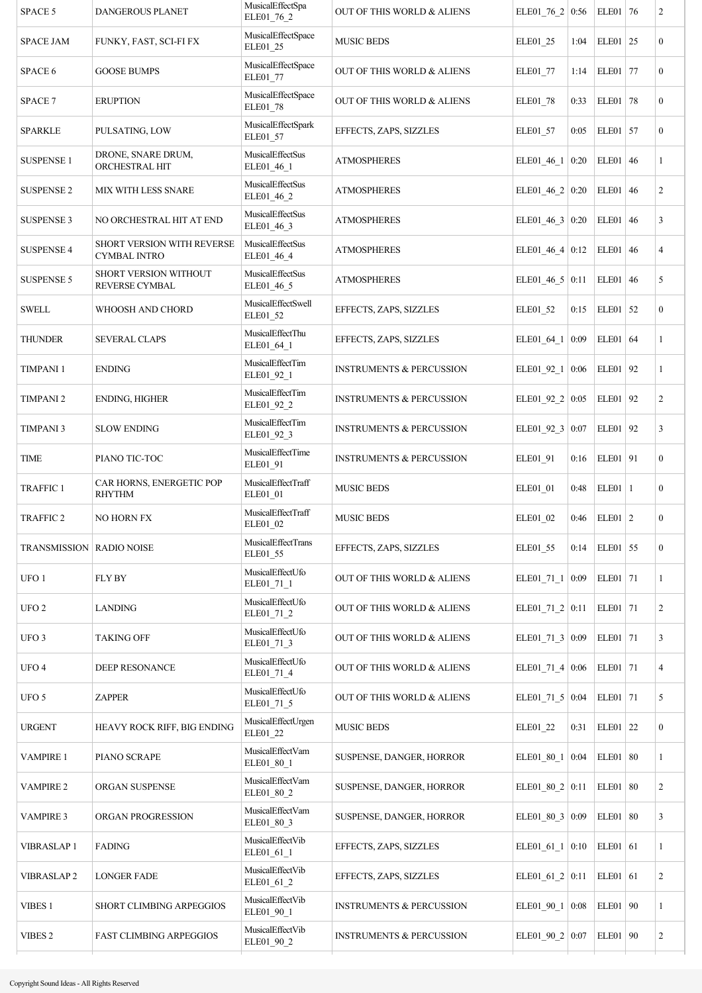| SPACE 5                           | DANGEROUS PLANET                                  | MusicalEffectSpa<br>ELE01_76_2 | OUT OF THIS WORLD & ALIENS          | ELE01_76_2   0:56       |      | ELE01 76    | $\overline{c}$   |
|-----------------------------------|---------------------------------------------------|--------------------------------|-------------------------------------|-------------------------|------|-------------|------------------|
| <b>SPACE JAM</b>                  | FUNKY, FAST, SCI-FI FX                            | MusicalEffectSpace<br>ELE01_25 | <b>MUSIC BEDS</b>                   | ELE01_25                | 1:04 | $ELE01$ 25  | $\boldsymbol{0}$ |
| SPACE 6                           | <b>GOOSE BUMPS</b>                                | MusicalEffectSpace<br>ELE01_77 | OUT OF THIS WORLD & ALIENS          | ELE01_77                | 1:14 | ELE01 77    | $\mathbf{0}$     |
| SPACE 7                           | <b>ERUPTION</b>                                   | MusicalEffectSpace<br>ELE01_78 | OUT OF THIS WORLD & ALIENS          | ELE01_78                | 0:33 | ELE01 78    | $\overline{0}$   |
| <b>SPARKLE</b>                    | PULSATING, LOW                                    | MusicalEffectSpark<br>ELE01_57 | EFFECTS, ZAPS, SIZZLES              | ELE01_57                | 0:05 | $ELE01$ 57  | $\mathbf{0}$     |
| <b>SUSPENSE 1</b>                 | DRONE, SNARE DRUM,<br>ORCHESTRAL HIT              | MusicalEffectSus<br>ELE01_46_1 | <b>ATMOSPHERES</b>                  | ELE01_46_1   0:20       |      | $ELE01$ 46  | 1                |
| <b>SUSPENSE 2</b>                 | MIX WITH LESS SNARE                               | MusicalEffectSus<br>ELE01_46_2 | <b>ATMOSPHERES</b>                  | ELE01_46_2   0:20       |      | $ELE01$ 46  | $\overline{2}$   |
| <b>SUSPENSE 3</b>                 | NO ORCHESTRAL HIT AT END                          | MusicalEffectSus<br>ELE01_46_3 | <b>ATMOSPHERES</b>                  | ELE01_46_3   0:20       |      | $ELE01$ 46  | 3                |
| <b>SUSPENSE 4</b>                 | SHORT VERSION WITH REVERSE<br><b>CYMBAL INTRO</b> | MusicalEffectSus<br>ELE01_46_4 | <b>ATMOSPHERES</b>                  | ELE01_46_4 0:12         |      | $ELE01$ 46  | $\overline{4}$   |
| <b>SUSPENSE 5</b>                 | SHORT VERSION WITHOUT<br>REVERSE CYMBAL           | MusicalEffectSus<br>ELE01_46_5 | <b>ATMOSPHERES</b>                  | ELE01_46_5 $ 0:11$      |      | $ELE01$ 46  | 5                |
| <b>SWELL</b>                      | WHOOSH AND CHORD                                  | MusicalEffectSwell<br>ELE01_52 | EFFECTS, ZAPS, SIZZLES              | ELE01 52                | 0:15 | ELE01 52    | $\boldsymbol{0}$ |
| <b>THUNDER</b>                    | <b>SEVERAL CLAPS</b>                              | MusicalEffectThu<br>ELE01_64_1 | EFFECTS, ZAPS, SIZZLES              | ELE01 64 1              | 0:09 | $ELE01$ 64  | 1                |
| <b>TIMPANI1</b>                   | <b>ENDING</b>                                     | MusicalEffectTim<br>ELE01_92_1 | <b>INSTRUMENTS &amp; PERCUSSION</b> | ELE01_92_1   0:06       |      | ELE01 92    | 1                |
| <b>TIMPANI 2</b>                  | ENDING, HIGHER                                    | MusicalEffectTim<br>ELE01_92_2 | <b>INSTRUMENTS &amp; PERCUSSION</b> | ELE01_92_2 0:05         |      | ELE01 92    | $\overline{2}$   |
| <b>TIMPANI3</b>                   | <b>SLOW ENDING</b>                                | MusicalEffectTim<br>ELE01_92_3 | <b>INSTRUMENTS &amp; PERCUSSION</b> | ELE01_92_3 0:07         |      | ELE01 92    | 3                |
| TIME                              | PIANO TIC-TOC                                     | MusicalEffectTime<br>ELE01_91  | <b>INSTRUMENTS &amp; PERCUSSION</b> | ELE01_91                | 0:16 | ELE01 91    | $\boldsymbol{0}$ |
| <b>TRAFFIC 1</b>                  | CAR HORNS, ENERGETIC POP<br><b>RHYTHM</b>         | MusicalEffectTraff<br>ELE01_01 | <b>MUSIC BEDS</b>                   | ELE01 01                | 0:48 | $ELE01$   1 | $\mathbf{0}$     |
| <b>TRAFFIC 2</b>                  | <b>NO HORN FX</b>                                 | MusicalEffectTraff<br>ELE01 02 | <b>MUSIC BEDS</b>                   | ELE01_02                | 0:46 | $ELE01$ 2   | $\boldsymbol{0}$ |
| <b>TRANSMISSION   RADIO NOISE</b> |                                                   | MusicalEffectTrans<br>ELE01_55 | EFFECTS, ZAPS, SIZZLES              | ELE01 55                | 0:14 | $ELE01$ 55  | $\boldsymbol{0}$ |
| UFO <sub>1</sub>                  | <b>FLY BY</b>                                     | MusicalEffectUfo<br>ELE01_71_1 | OUT OF THIS WORLD & ALIENS          | ELE01_71_1 $\vert$ 0:09 |      | ELE01 71    | $\mathbf{1}$     |
| UFO <sub>2</sub>                  | <b>LANDING</b>                                    | MusicalEffectUfo<br>ELE01_71_2 | OUT OF THIS WORLD & ALIENS          | ELE01_71_2 $ 0:11$      |      | ELE01   71  | $\overline{c}$   |
| UFO <sub>3</sub>                  | <b>TAKING OFF</b>                                 | MusicalEffectUfo<br>ELE01 71 3 | OUT OF THIS WORLD & ALIENS          | ELE01_71_3 0:09         |      | ELE01   71  | 3                |
| UFO <sub>4</sub>                  | DEEP RESONANCE                                    | MusicalEffectUfo<br>ELE01_71_4 | OUT OF THIS WORLD $\&$ ALIENS       | ELE01_71_4 $\vert$ 0:06 |      | ELE01   71  | $\overline{4}$   |
| UFO 5                             | <b>ZAPPER</b>                                     | MusicalEffectUfo<br>ELE01_71_5 | OUT OF THIS WORLD & ALIENS          | ELE01 71 $5 \mid 0.04$  |      | ELE01   71  | 5                |
| <b>URGENT</b>                     | HEAVY ROCK RIFF, BIG ENDING                       | MusicalEffectUrgen<br>ELE01_22 | <b>MUSIC BEDS</b>                   | ELE01_22                | 0:31 | $ELE01$ 22  | $\boldsymbol{0}$ |
| <b>VAMPIRE 1</b>                  | PIANO SCRAPE                                      | MusicalEffectVam<br>ELE01_80_1 | SUSPENSE, DANGER, HORROR            | ELE01 80 1              | 0:04 | $ELE01$ 80  | 1                |
| <b>VAMPIRE 2</b>                  | ORGAN SUSPENSE                                    | MusicalEffectVam<br>ELE01_80_2 | SUSPENSE, DANGER, HORROR            | ELE01_80_2   0:11       |      | $ELE01$ 80  | $\overline{c}$   |
| <b>VAMPIRE 3</b>                  | ORGAN PROGRESSION                                 | MusicalEffectVam<br>ELE01_80_3 | SUSPENSE, DANGER, HORROR            | ELE01_80_3 0:09         |      | $ELE01$ 80  | 3                |
| <b>VIBRASLAP1</b>                 | <b>FADING</b>                                     | MusicalEffectVib<br>ELE01_61_1 | EFFECTS, ZAPS, SIZZLES              | ELE01_61_1   0:10       |      | $ELE01$ 61  | 1                |
| <b>VIBRASLAP2</b>                 | <b>LONGER FADE</b>                                | MusicalEffectVib<br>ELE01_61_2 | EFFECTS, ZAPS, SIZZLES              | ELE01 61 2 0:11         |      | $ELE01$ 61  | $\overline{2}$   |
| <b>VIBES 1</b>                    | SHORT CLIMBING ARPEGGIOS                          | MusicalEffectVib<br>ELE01_90_1 | <b>INSTRUMENTS &amp; PERCUSSION</b> | ELE01_90_1   0:08       |      | ELE01   90  | 1                |
| VIBES 2                           | FAST CLIMBING ARPEGGIOS                           | MusicalEffectVib<br>ELE01_90_2 | <b>INSTRUMENTS &amp; PERCUSSION</b> | ELE01 90 2 0:07         |      | ELE01   90  | $\overline{c}$   |
|                                   |                                                   |                                |                                     |                         |      |             |                  |